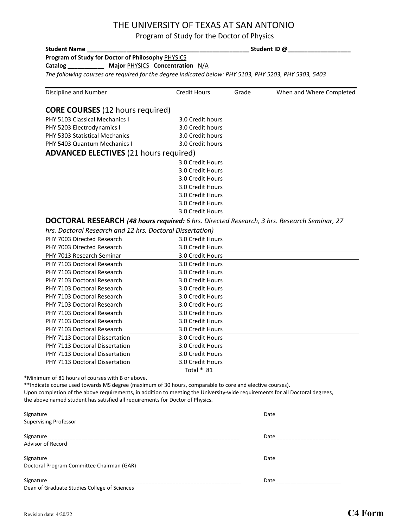## THE UNIVERSITY OF TEXAS AT SAN ANTONIO

Program of Study for the Doctor of Physics

| <b>Student Name</b>                                                                                                          |                                      | Student ID @ |                                                                                                                                                                                                                                |  |
|------------------------------------------------------------------------------------------------------------------------------|--------------------------------------|--------------|--------------------------------------------------------------------------------------------------------------------------------------------------------------------------------------------------------------------------------|--|
| Program of Study for Doctor of Philosophy PHYSICS                                                                            |                                      |              |                                                                                                                                                                                                                                |  |
| Catalog ____________ Major PHYSICS Concentration N/A                                                                         |                                      |              |                                                                                                                                                                                                                                |  |
| The following courses are required for the degree indicated below: PHY 5103, PHY 5203, PHY 5303, 5403                        |                                      |              |                                                                                                                                                                                                                                |  |
| Discipline and Number                                                                                                        | <b>Credit Hours</b>                  | Grade        | When and Where Completed                                                                                                                                                                                                       |  |
| <b>CORE COURSES</b> (12 hours required)                                                                                      |                                      |              |                                                                                                                                                                                                                                |  |
| PHY 5103 Classical Mechanics I                                                                                               | 3.0 Credit hours                     |              |                                                                                                                                                                                                                                |  |
| PHY 5203 Electrodynamics I                                                                                                   | 3.0 Credit hours                     |              |                                                                                                                                                                                                                                |  |
| PHY 5303 Statistical Mechanics                                                                                               | 3.0 Credit hours                     |              |                                                                                                                                                                                                                                |  |
| PHY 5403 Quantum Mechanics I                                                                                                 | 3.0 Credit hours                     |              |                                                                                                                                                                                                                                |  |
| <b>ADVANCED ELECTIVES</b> (21 hours required)                                                                                |                                      |              |                                                                                                                                                                                                                                |  |
|                                                                                                                              | 3.0 Credit Hours                     |              |                                                                                                                                                                                                                                |  |
|                                                                                                                              | 3.0 Credit Hours                     |              |                                                                                                                                                                                                                                |  |
|                                                                                                                              | 3.0 Credit Hours                     |              |                                                                                                                                                                                                                                |  |
|                                                                                                                              | 3.0 Credit Hours                     |              |                                                                                                                                                                                                                                |  |
|                                                                                                                              | 3.0 Credit Hours                     |              |                                                                                                                                                                                                                                |  |
|                                                                                                                              | 3.0 Credit Hours                     |              |                                                                                                                                                                                                                                |  |
|                                                                                                                              | 3.0 Credit Hours                     |              |                                                                                                                                                                                                                                |  |
|                                                                                                                              |                                      |              |                                                                                                                                                                                                                                |  |
| DOCTORAL RESEARCH (48 hours required: 6 hrs. Directed Research, 3 hrs. Research Seminar, 27                                  |                                      |              |                                                                                                                                                                                                                                |  |
| hrs. Doctoral Research and 12 hrs. Doctoral Dissertation)                                                                    |                                      |              |                                                                                                                                                                                                                                |  |
| PHY 7003 Directed Research                                                                                                   | 3.0 Credit Hours                     |              |                                                                                                                                                                                                                                |  |
| PHY 7003 Directed Research                                                                                                   | 3.0 Credit Hours                     |              |                                                                                                                                                                                                                                |  |
| PHY 7013 Research Seminar                                                                                                    | 3.0 Credit Hours                     |              |                                                                                                                                                                                                                                |  |
| PHY 7103 Doctoral Research                                                                                                   | 3.0 Credit Hours                     |              |                                                                                                                                                                                                                                |  |
| PHY 7103 Doctoral Research                                                                                                   | 3.0 Credit Hours                     |              |                                                                                                                                                                                                                                |  |
| PHY 7103 Doctoral Research                                                                                                   | 3.0 Credit Hours                     |              |                                                                                                                                                                                                                                |  |
| PHY 7103 Doctoral Research                                                                                                   | 3.0 Credit Hours                     |              |                                                                                                                                                                                                                                |  |
| PHY 7103 Doctoral Research                                                                                                   | 3.0 Credit Hours                     |              |                                                                                                                                                                                                                                |  |
| PHY 7103 Doctoral Research<br>PHY 7103 Doctoral Research                                                                     | 3.0 Credit Hours                     |              |                                                                                                                                                                                                                                |  |
| PHY 7103 Doctoral Research                                                                                                   | 3.0 Credit Hours                     |              |                                                                                                                                                                                                                                |  |
| PHY 7103 Doctoral Research                                                                                                   | 3.0 Credit Hours<br>3.0 Credit Hours |              |                                                                                                                                                                                                                                |  |
| PHY 7113 Doctoral Dissertation                                                                                               | 3.0 Credit Hours                     |              |                                                                                                                                                                                                                                |  |
| PHY 7113 Doctoral Dissertation                                                                                               |                                      |              |                                                                                                                                                                                                                                |  |
| PHY 7113 Doctoral Dissertation                                                                                               | 3.0 Credit Hours<br>3.0 Credit Hours |              |                                                                                                                                                                                                                                |  |
| PHY 7113 Doctoral Dissertation                                                                                               | 3.0 Credit Hours                     |              |                                                                                                                                                                                                                                |  |
|                                                                                                                              | Total * 81                           |              |                                                                                                                                                                                                                                |  |
| *Minimum of 81 hours of courses with B or above.                                                                             |                                      |              |                                                                                                                                                                                                                                |  |
| ** Indicate course used towards MS degree (maximum of 30 hours, comparable to core and elective courses).                    |                                      |              |                                                                                                                                                                                                                                |  |
| Upon completion of the above requirements, in addition to meeting the University-wide requirements for all Doctoral degrees, |                                      |              |                                                                                                                                                                                                                                |  |
| the above named student has satisfied all requirements for Doctor of Physics.                                                |                                      |              |                                                                                                                                                                                                                                |  |
|                                                                                                                              |                                      |              |                                                                                                                                                                                                                                |  |
| <b>Supervising Professor</b>                                                                                                 |                                      |              |                                                                                                                                                                                                                                |  |
|                                                                                                                              |                                      |              |                                                                                                                                                                                                                                |  |
|                                                                                                                              |                                      |              | Date _________________________                                                                                                                                                                                                 |  |
| Advisor of Record                                                                                                            |                                      |              |                                                                                                                                                                                                                                |  |
|                                                                                                                              |                                      |              |                                                                                                                                                                                                                                |  |
|                                                                                                                              |                                      |              |                                                                                                                                                                                                                                |  |
|                                                                                                                              |                                      |              |                                                                                                                                                                                                                                |  |
| Dean of Graduate Studies College of Sciences                                                                                 |                                      |              | Date and the contract of the contract of the contract of the contract of the contract of the contract of the contract of the contract of the contract of the contract of the contract of the contract of the contract of the c |  |
|                                                                                                                              |                                      |              |                                                                                                                                                                                                                                |  |